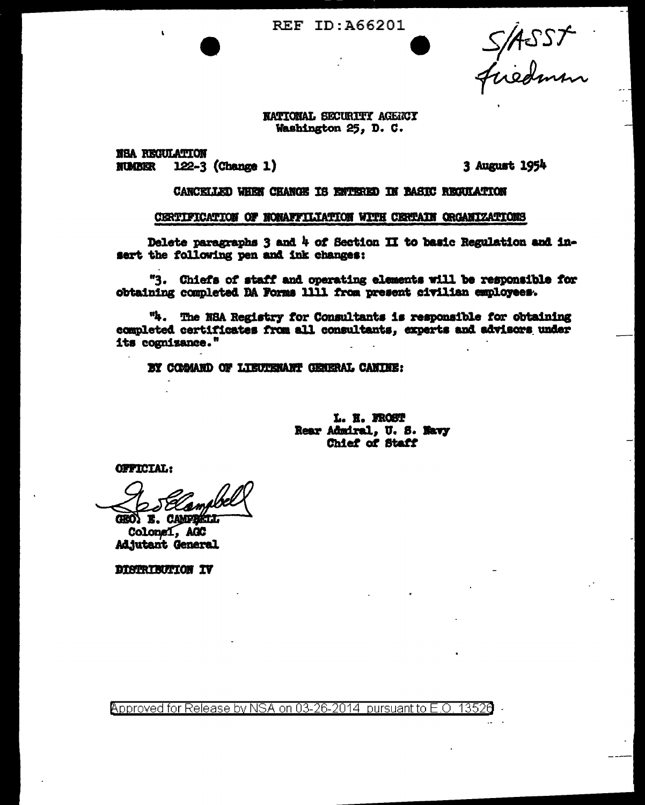**REF ID: A66201** 

S/ASST

NATIONAL SECURITY AGENCY Washington 25, D. C.

**NSA REGULATION**  $122-3$  (Change 1) **NUMBER** 

3 August 1954

CANCELLED WHEN CHANGE IS ENTERED IN BASIC REGULATION

#### CERTIFICATION OF NONAFFILIATION WITH CERTAIN ORGANIZATIONS

Delete paragraphs 3 and 4 of Section II to basic Regulation and insert the following pen and ink changes:

"3. Chiefs of staff and operating elements will be responsible for obtaining completed DA Forms 1111 from present civilian employees.

"4. The NSA Registry for Consultants is responsible for obtaining completed certificates from all consultants, experts and advisors under its cognizance."

BY COMAND OF LIEUTERANT GENERAL CANINE:

L. H. FROST Rear Admiral, U. S. Navy Chief of Staff

**OFFICIAL:** 

e) EXAM GEO) E. CAMPBELL

Colonei, AGC **Adjutant General** 

DISTRIBUTION IV

Approved for Release by NSA on 03-26-2014 pursuant to E.O. 13526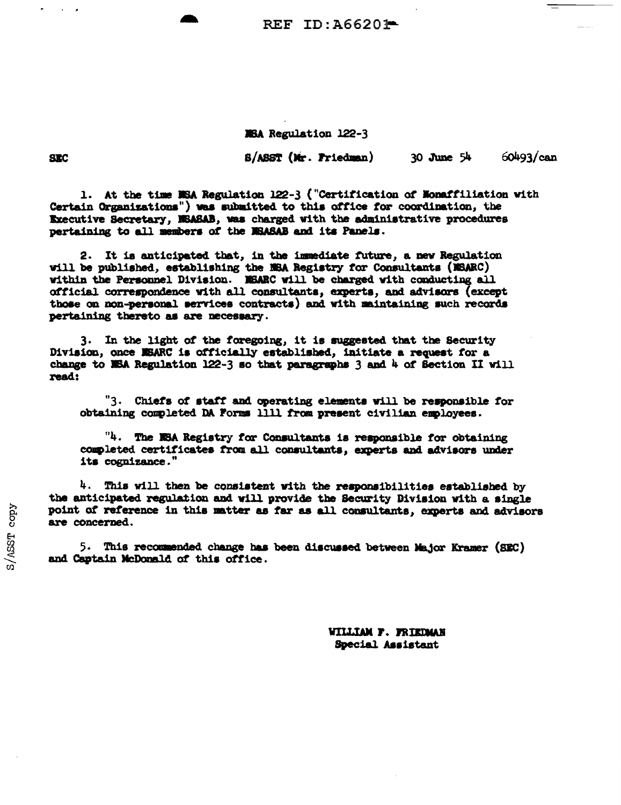REF ID: A66201-

MBA Regulation 122-3

S/ASST (Mr. Friedman)

 $30$  June  $54$ 

 $60493/can$ 

1. At the time NSA Regulation 122-3 ("Certification of Nonaffiliation with Certain Organizations") was submitted to this office for coordination, the Executive Secretary, MSASAB, was charged with the administrative procedures pertaining to all members of the MSASAB and its Panels.

2. It is anticipated that, in the immediate future, a new Regulation will be published, establishing the NEA Registry for Consultants (NEARC) within the Personnel Division. MSARC will be charged with conducting all official correspondence with all consultants, experts, and advisors (except those on non-personal services contracts) and with maintaining such records pertaining thereto as are necessary.

3. In the light of the foregoing, it is suggested that the Security Division, once MSARC is officially established, initiate a request for a change to NSA Regulation 122-3 so that paragraphs 3 and 4 of Section II will read:

"3. Chiefs of staff and operating elements will be responsible for obtaining completed DA Forms 1111 from present civilian employees.

"4. The NSA Registry for Consultants is responsible for obtaining completed certificates from all consultants, experts and advisors under its cognizance."

 $4.$  This will then be consistent with the responsibilities established by the anticipated regulation and will provide the Security Division with a single point of reference in this matter as far as all consultants, experts and advisors are concerned.

5. This recommended change has been discussed between Major Kramer (SEC) and Captain McDonald of this office.

> **WILLIAM F. FRIEDMAN** Special Assistant

**SEC**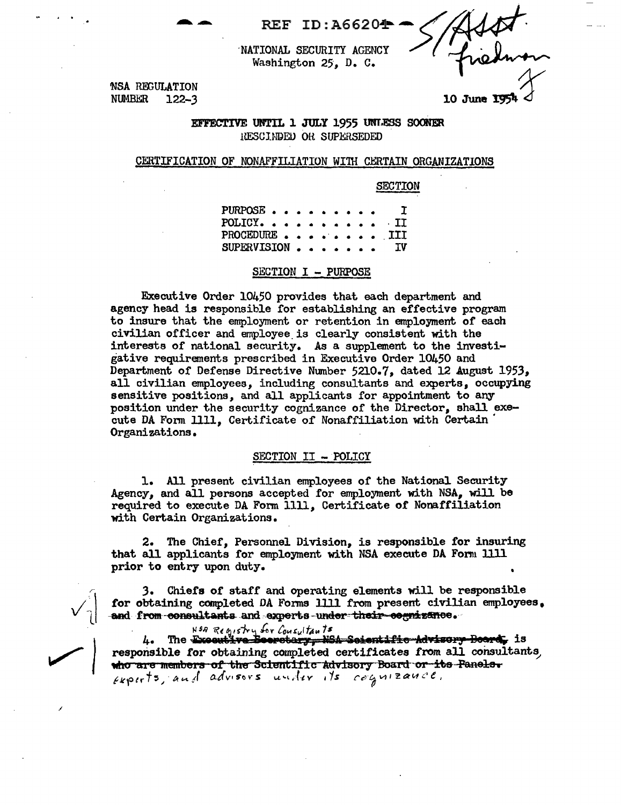**REF ID: A66204** 

NATIONAL SECURITY AGENCY Washington 25, D. C.

**NSA REGULATION NUMBER**  $122 - 3$ 

10 June 19

EFFECTIVE UNTIL 1 JULY 1955 UNLESS SOONER RESCIMPED OR SUPERSEDED

### CERTIFICATION OF NONAFFILIATION WITH CERTAIN ORGANIZATIONS

**SECTION** 

 $\mathbf I$ PURPOSE. **POLICY.**  $II$ PROCEDURE. III **SUPERVISION** IV

### SECTION I - PURPOSE

Executive Order 10450 provides that each department and agency head is responsible for establishing an effective program to insure that the employment or retention in employment of each civilian officer and employee is clearly consistent with the interests of national security. As a supplement to the investigative requirements prescribed in Executive Order 10450 and Department of Defense Directive Number 5210.7, dated 12 August 1953, all civilian employees, including consultants and experts, occupying sensitive positions, and all applicants for appointment to any position under the security cognizance of the Director, shall execute DA Form 1111, Certificate of Nonaffiliation with Certain Organizations.

# SECTION II - POLICY

1. All present civilian employees of the National Security Agency, and all persons accepted for employment with NSA, will be required to execute DA Form 1111, Certificate of Nonaffiliation with Certain Organizations.

The Chief, Personnel Division, is responsible for insuring 2. that all applicants for employment with NSA execute DA Form 1111 prior to entry upon duty.

3. Chiefs of staff and operating elements will be responsible for obtaining completed DA Forms 1111 from present civilian employees. and from consultants and experts under their cognizance.

N<sup>5A</sup> Registry for Consultants<br>4. The Excentive Beerstary, NSA Scientific Advisory Beard, is responsible for obtaining completed certificates from all consultants, who are members of the Scientific Advisory Board or its Panels. Experts, and advisors under its cognizance.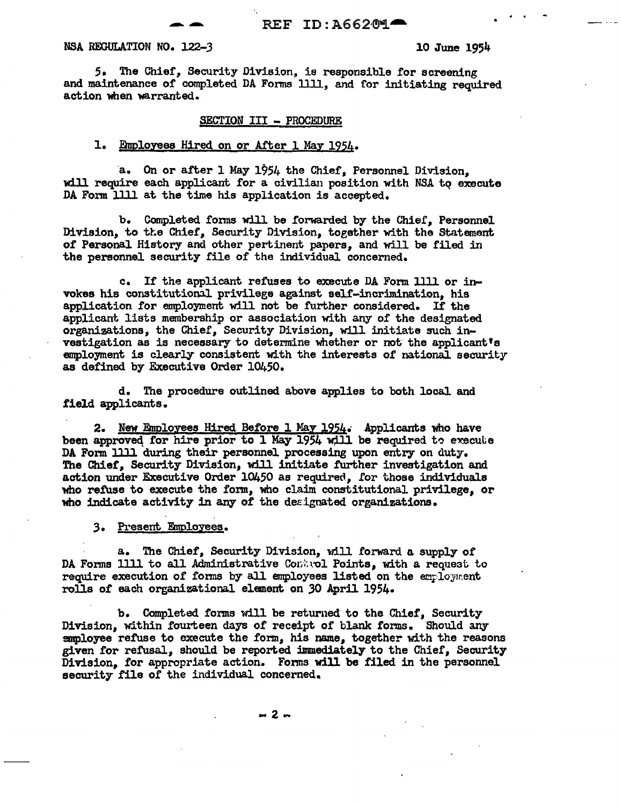#### NSA REGULATION NO. 122-3 10 June 1954

5. The Chief, Security Division, is responsible for screening and maintenance of completed DA Fonns llll., and for initiating required action when warranted.

#### SECTION III - PROCEDURE

## 1. Employees Hired on or After 1 May 1954.

a. On or after 1 May 1954 the Chief, Personnel Division, will require each applicant for a civilian position with NSA to execute DA Fonn llll at the time his application is accepted.

b. Completed forms will be forwarded by the Chief, Personnel Division, to the Chief, Security Division, together with the Statement of Personal History and other pertinent papers, and will be filed in the personnel security file of the individual concerned.

c. If the applicant refuses to execute DA Fonn llll or invokes his constitutional privilege against self-incrimination, his application for employment will not be further considered. If the applicant lists membership or association with any of the designated organizations, the Chief, Security Division, will initiate such investigation as is necessary to determine whether or not the applicant's employment is clearly consistent with the interests of national security as defined by Executive Order 10450.

d. The procedure outlined above applies to both local and field applicants.

2. New Employees Hired Before 1 May 1954. Applicants who have been approved for hire prior to 1 May 1954 will be required to execute DA Form 1lll during their personnel processing upon entry on duty. The Chier, Security Division, will initiate further investigation and action under Executive Order 10450 as required, for those individuals who refuse to execute the form, who claim constitutional privilege, or who indicate activity in any of the designated organizations.

3. Present Fmolozees.

a. The Chief, Security Division, will forward a supply of DA Forms 1111 to all Administrative Control Points, with a request to require execution of forms by all employees listed on the employment rolls of each organizational element on 30 April 1954.

b. Completed forms will be returned to the Chief, Security Division, within fourteen days of receipt of blank forms. Should any anployee refuse to execute the form, his name, together with the reasons given for refusal, should be reported immediately to the Chief, Security Division, for appropriate action. Forms will be filed in the personnel security file of the individual concerned.

 $-2 -$